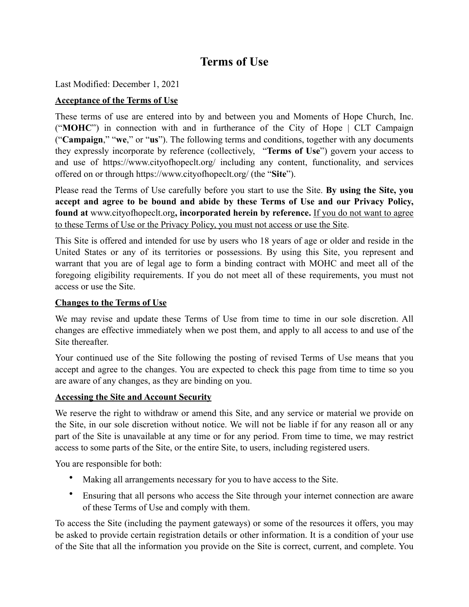# **Terms of Use**

Last Modified: December 1, 2021

# **Acceptance of the Terms of Use**

These terms of use are entered into by and between you and Moments of Hope Church, Inc. ("**MOHC**") in connection with and in furtherance of the City of Hope | CLT Campaign ("**Campaign**," "**we**," or "**us**"). The following terms and conditions, together with any documents they expressly incorporate by reference (collectively, "**Terms of Use**") govern your access to and use of https://www.cityofhopeclt.org/ including any content, functionality, and services offered on or through <https://www.cityofhopeclt.org/>(the "**Site**").

Please read the Terms of Use carefully before you start to use the Site. **By using the Site, you accept and agree to be bound and abide by these Terms of Use and our Privacy Policy, found at** [www.cityofhopeclt.org](http://www.cityofhopeclt.org)**, incorporated herein by reference.** If you do not want to agree to these Terms of Use or the Privacy Policy, you must not access or use the Site.

This Site is offered and intended for use by users who 18 years of age or older and reside in the United States or any of its territories or possessions. By using this Site, you represent and warrant that you are of legal age to form a binding contract with MOHC and meet all of the foregoing eligibility requirements. If you do not meet all of these requirements, you must not access or use the Site.

#### **Changes to the Terms of Use**

We may revise and update these Terms of Use from time to time in our sole discretion. All changes are effective immediately when we post them, and apply to all access to and use of the Site thereafter.

Your continued use of the Site following the posting of revised Terms of Use means that you accept and agree to the changes. You are expected to check this page from time to time so you are aware of any changes, as they are binding on you.

# **Accessing the Site and Account Security**

We reserve the right to withdraw or amend this Site, and any service or material we provide on the Site, in our sole discretion without notice. We will not be liable if for any reason all or any part of the Site is unavailable at any time or for any period. From time to time, we may restrict access to some parts of the Site, or the entire Site, to users, including registered users.

You are responsible for both:

- Making all arrangements necessary for you to have access to the Site.
- Ensuring that all persons who access the Site through your internet connection are aware of these Terms of Use and comply with them.

To access the Site (including the payment gateways) or some of the resources it offers, you may be asked to provide certain registration details or other information. It is a condition of your use of the Site that all the information you provide on the Site is correct, current, and complete. You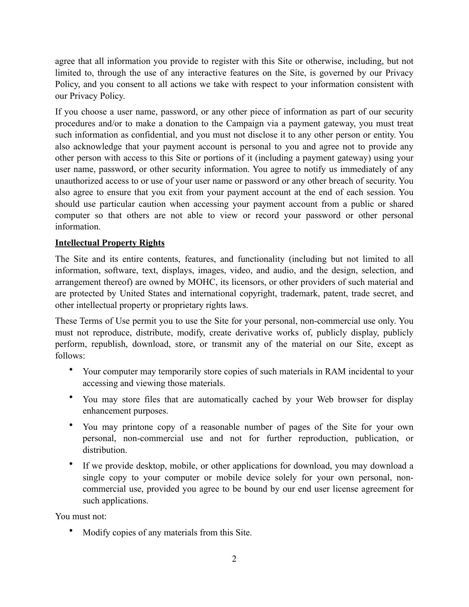agree that all information you provide to register with this Site or otherwise, including, but not limited to, through the use of any interactive features on the Site, is governed by our Privacy Policy, and you consent to all actions we take with respect to your information consistent with our Privacy Policy.

If you choose a user name, password, or any other piece of information as part of our security procedures and/or to make a donation to the Campaign via a payment gateway, you must treat such information as confidential, and you must not disclose it to any other person or entity. You also acknowledge that your payment account is personal to you and agree not to provide any other person with access to this Site or portions of it (including a payment gateway) using your user name, password, or other security information. You agree to notify us immediately of any unauthorized access to or use of your user name or password or any other breach of security. You also agree to ensure that you exit from your payment account at the end of each session. You should use particular caution when accessing your payment account from a public or shared computer so that others are not able to view or record your password or other personal information.

# **Intellectual Property Rights**

The Site and its entire contents, features, and functionality (including but not limited to all information, software, text, displays, images, video, and audio, and the design, selection, and arrangement thereof) are owned by MOHC, its licensors, or other providers of such material and are protected by United States and international copyright, trademark, patent, trade secret, and other intellectual property or proprietary rights laws.

These Terms of Use permit you to use the Site for your personal, non-commercial use only. You must not reproduce, distribute, modify, create derivative works of, publicly display, publicly perform, republish, download, store, or transmit any of the material on our Site, except as follows:

- Your computer may temporarily store copies of such materials in RAM incidental to your accessing and viewing those materials.
- You may store files that are automatically cached by your Web browser for display enhancement purposes.
- You may printone copy of a reasonable number of pages of the Site for your own personal, non-commercial use and not for further reproduction, publication, or distribution.
- If we provide desktop, mobile, or other applications for download, you may download a single copy to your computer or mobile device solely for your own personal, noncommercial use, provided you agree to be bound by our end user license agreement for such applications.

You must not:

• Modify copies of any materials from this Site.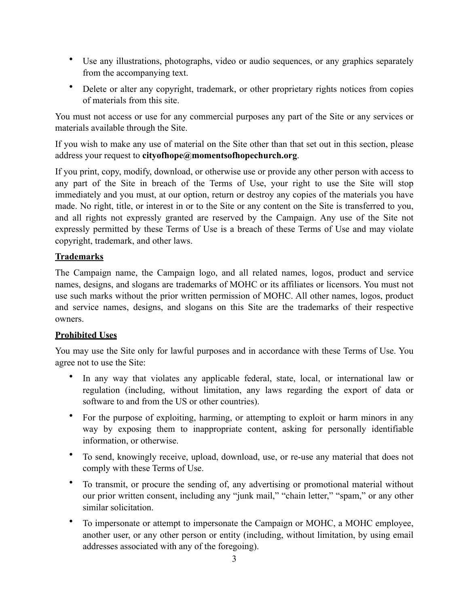- Use any illustrations, photographs, video or audio sequences, or any graphics separately from the accompanying text.
- Delete or alter any copyright, trademark, or other proprietary rights notices from copies of materials from this site.

You must not access or use for any commercial purposes any part of the Site or any services or materials available through the Site.

If you wish to make any use of material on the Site other than that set out in this section, please address your request to **[cityofhope@momentsofhopechurch.org](mailto:cityofhope@momentsofhopechurch.org)**.

If you print, copy, modify, download, or otherwise use or provide any other person with access to any part of the Site in breach of the Terms of Use, your right to use the Site will stop immediately and you must, at our option, return or destroy any copies of the materials you have made. No right, title, or interest in or to the Site or any content on the Site is transferred to you, and all rights not expressly granted are reserved by the Campaign. Any use of the Site not expressly permitted by these Terms of Use is a breach of these Terms of Use and may violate copyright, trademark, and other laws.

# **Trademarks**

The Campaign name, the Campaign logo, and all related names, logos, product and service names, designs, and slogans are trademarks of MOHC or its affiliates or licensors. You must not use such marks without the prior written permission of MOHC. All other names, logos, product and service names, designs, and slogans on this Site are the trademarks of their respective owners.

# **Prohibited Uses**

You may use the Site only for lawful purposes and in accordance with these Terms of Use. You agree not to use the Site:

- In any way that violates any applicable federal, state, local, or international law or regulation (including, without limitation, any laws regarding the export of data or software to and from the US or other countries).
- For the purpose of exploiting, harming, or attempting to exploit or harm minors in any way by exposing them to inappropriate content, asking for personally identifiable information, or otherwise.
- To send, knowingly receive, upload, download, use, or re-use any material that does not comply with these Terms of Use.
- To transmit, or procure the sending of, any advertising or promotional material without our prior written consent, including any "junk mail," "chain letter," "spam," or any other similar solicitation.
- To impersonate or attempt to impersonate the Campaign or MOHC, a MOHC employee, another user, or any other person or entity (including, without limitation, by using email addresses associated with any of the foregoing).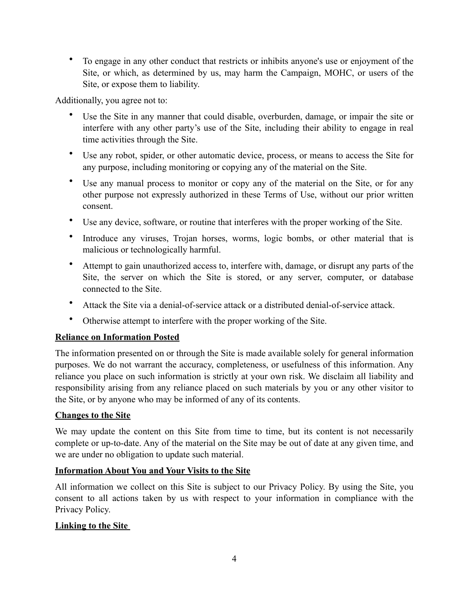• To engage in any other conduct that restricts or inhibits anyone's use or enjoyment of the Site, or which, as determined by us, may harm the Campaign, MOHC, or users of the Site, or expose them to liability.

Additionally, you agree not to:

- Use the Site in any manner that could disable, overburden, damage, or impair the site or interfere with any other party's use of the Site, including their ability to engage in real time activities through the Site.
- Use any robot, spider, or other automatic device, process, or means to access the Site for any purpose, including monitoring or copying any of the material on the Site.
- Use any manual process to monitor or copy any of the material on the Site, or for any other purpose not expressly authorized in these Terms of Use, without our prior written consent.
- Use any device, software, or routine that interferes with the proper working of the Site.
- Introduce any viruses, Trojan horses, worms, logic bombs, or other material that is malicious or technologically harmful.
- Attempt to gain unauthorized access to, interfere with, damage, or disrupt any parts of the Site, the server on which the Site is stored, or any server, computer, or database connected to the Site.
- Attack the Site via a denial-of-service attack or a distributed denial-of-service attack.
- Otherwise attempt to interfere with the proper working of the Site.

# **Reliance on Information Posted**

The information presented on or through the Site is made available solely for general information purposes. We do not warrant the accuracy, completeness, or usefulness of this information. Any reliance you place on such information is strictly at your own risk. We disclaim all liability and responsibility arising from any reliance placed on such materials by you or any other visitor to the Site, or by anyone who may be informed of any of its contents.

# **Changes to the Site**

We may update the content on this Site from time to time, but its content is not necessarily complete or up-to-date. Any of the material on the Site may be out of date at any given time, and we are under no obligation to update such material.

#### **Information About You and Your Visits to the Site**

All information we collect on this Site is subject to our Privacy Policy. By using the Site, you consent to all actions taken by us with respect to your information in compliance with the Privacy Policy.

# **Linking to the Site**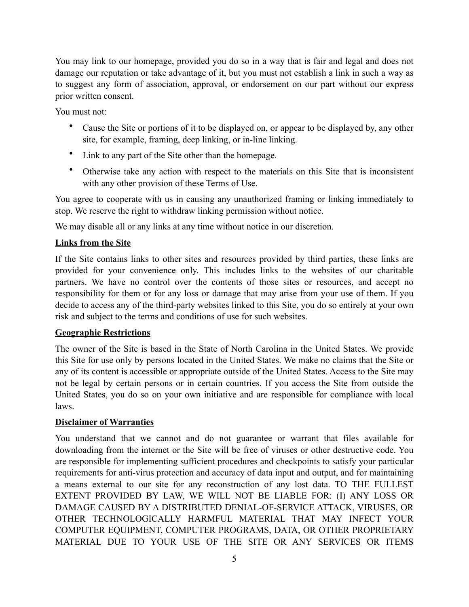You may link to our homepage, provided you do so in a way that is fair and legal and does not damage our reputation or take advantage of it, but you must not establish a link in such a way as to suggest any form of association, approval, or endorsement on our part without our express prior written consent.

You must not:

- Cause the Site or portions of it to be displayed on, or appear to be displayed by, any other site, for example, framing, deep linking, or in-line linking.
- Link to any part of the Site other than the homepage.
- Otherwise take any action with respect to the materials on this Site that is inconsistent with any other provision of these Terms of Use.

You agree to cooperate with us in causing any unauthorized framing or linking immediately to stop. We reserve the right to withdraw linking permission without notice.

We may disable all or any links at any time without notice in our discretion.

# **Links from the Site**

If the Site contains links to other sites and resources provided by third parties, these links are provided for your convenience only. This includes links to the websites of our charitable partners. We have no control over the contents of those sites or resources, and accept no responsibility for them or for any loss or damage that may arise from your use of them. If you decide to access any of the third-party websites linked to this Site, you do so entirely at your own risk and subject to the terms and conditions of use for such websites.

# **Geographic Restrictions**

The owner of the Site is based in the State of North Carolina in the United States. We provide this Site for use only by persons located in the United States. We make no claims that the Site or any of its content is accessible or appropriate outside of the United States. Access to the Site may not be legal by certain persons or in certain countries. If you access the Site from outside the United States, you do so on your own initiative and are responsible for compliance with local laws.

# **Disclaimer of Warranties**

You understand that we cannot and do not guarantee or warrant that files available for downloading from the internet or the Site will be free of viruses or other destructive code. You are responsible for implementing sufficient procedures and checkpoints to satisfy your particular requirements for anti-virus protection and accuracy of data input and output, and for maintaining a means external to our site for any reconstruction of any lost data. TO THE FULLEST EXTENT PROVIDED BY LAW, WE WILL NOT BE LIABLE FOR: (I) ANY LOSS OR DAMAGE CAUSED BY A DISTRIBUTED DENIAL-OF-SERVICE ATTACK, VIRUSES, OR OTHER TECHNOLOGICALLY HARMFUL MATERIAL THAT MAY INFECT YOUR COMPUTER EQUIPMENT, COMPUTER PROGRAMS, DATA, OR OTHER PROPRIETARY MATERIAL DUE TO YOUR USE OF THE SITE OR ANY SERVICES OR ITEMS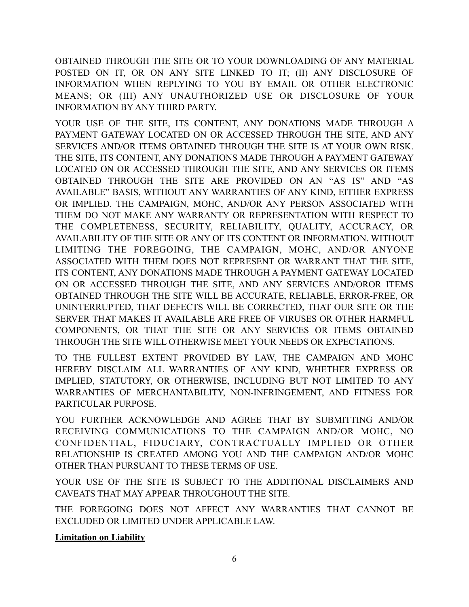OBTAINED THROUGH THE SITE OR TO YOUR DOWNLOADING OF ANY MATERIAL POSTED ON IT, OR ON ANY SITE LINKED TO IT; (II) ANY DISCLOSURE OF INFORMATION WHEN REPLYING TO YOU BY EMAIL OR OTHER ELECTRONIC MEANS; OR (III) ANY UNAUTHORIZED USE OR DISCLOSURE OF YOUR INFORMATION BY ANY THIRD PARTY.

YOUR USE OF THE SITE, ITS CONTENT, ANY DONATIONS MADE THROUGH A PAYMENT GATEWAY LOCATED ON OR ACCESSED THROUGH THE SITE, AND ANY SERVICES AND/OR ITEMS OBTAINED THROUGH THE SITE IS AT YOUR OWN RISK. THE SITE, ITS CONTENT, ANY DONATIONS MADE THROUGH A PAYMENT GATEWAY LOCATED ON OR ACCESSED THROUGH THE SITE, AND ANY SERVICES OR ITEMS OBTAINED THROUGH THE SITE ARE PROVIDED ON AN "AS IS" AND "AS AVAILABLE" BASIS, WITHOUT ANY WARRANTIES OF ANY KIND, EITHER EXPRESS OR IMPLIED. THE CAMPAIGN, MOHC, AND/OR ANY PERSON ASSOCIATED WITH THEM DO NOT MAKE ANY WARRANTY OR REPRESENTATION WITH RESPECT TO THE COMPLETENESS, SECURITY, RELIABILITY, QUALITY, ACCURACY, OR AVAILABILITY OF THE SITE OR ANY OF ITS CONTENT OR INFORMATION. WITHOUT LIMITING THE FOREGOING, THE CAMPAIGN, MOHC, AND/OR ANYONE ASSOCIATED WITH THEM DOES NOT REPRESENT OR WARRANT THAT THE SITE, ITS CONTENT, ANY DONATIONS MADE THROUGH A PAYMENT GATEWAY LOCATED ON OR ACCESSED THROUGH THE SITE, AND ANY SERVICES AND/OROR ITEMS OBTAINED THROUGH THE SITE WILL BE ACCURATE, RELIABLE, ERROR-FREE, OR UNINTERRUPTED, THAT DEFECTS WILL BE CORRECTED, THAT OUR SITE OR THE SERVER THAT MAKES IT AVAILABLE ARE FREE OF VIRUSES OR OTHER HARMFUL COMPONENTS, OR THAT THE SITE OR ANY SERVICES OR ITEMS OBTAINED THROUGH THE SITE WILL OTHERWISE MEET YOUR NEEDS OR EXPECTATIONS.

TO THE FULLEST EXTENT PROVIDED BY LAW, THE CAMPAIGN AND MOHC HEREBY DISCLAIM ALL WARRANTIES OF ANY KIND, WHETHER EXPRESS OR IMPLIED, STATUTORY, OR OTHERWISE, INCLUDING BUT NOT LIMITED TO ANY WARRANTIES OF MERCHANTABILITY, NON-INFRINGEMENT, AND FITNESS FOR PARTICULAR PURPOSE.

YOU FURTHER ACKNOWLEDGE AND AGREE THAT BY SUBMITTING AND/OR RECEIVING COMMUNICATIONS TO THE CAMPAIGN AND/OR MOHC, NO CONFIDENTIAL, FIDUCIARY, CONTRACTUALLY IMPLIED OR OTHER RELATIONSHIP IS CREATED AMONG YOU AND THE CAMPAIGN AND/OR MOHC OTHER THAN PURSUANT TO THESE TERMS OF USE.

YOUR USE OF THE SITE IS SUBJECT TO THE ADDITIONAL DISCLAIMERS AND CAVEATS THAT MAY APPEAR THROUGHOUT THE SITE.

THE FOREGOING DOES NOT AFFECT ANY WARRANTIES THAT CANNOT BE EXCLUDED OR LIMITED UNDER APPLICABLE LAW.

**Limitation on Liability**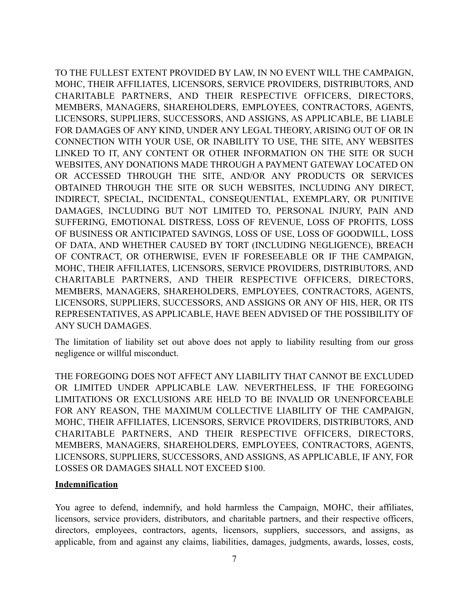TO THE FULLEST EXTENT PROVIDED BY LAW, IN NO EVENT WILL THE CAMPAIGN, MOHC, THEIR AFFILIATES, LICENSORS, SERVICE PROVIDERS, DISTRIBUTORS, AND CHARITABLE PARTNERS, AND THEIR RESPECTIVE OFFICERS, DIRECTORS, MEMBERS, MANAGERS, SHAREHOLDERS, EMPLOYEES, CONTRACTORS, AGENTS, LICENSORS, SUPPLIERS, SUCCESSORS, AND ASSIGNS, AS APPLICABLE, BE LIABLE FOR DAMAGES OF ANY KIND, UNDER ANY LEGAL THEORY, ARISING OUT OF OR IN CONNECTION WITH YOUR USE, OR INABILITY TO USE, THE SITE, ANY WEBSITES LINKED TO IT, ANY CONTENT OR OTHER INFORMATION ON THE SITE OR SUCH WEBSITES, ANY DONATIONS MADE THROUGH A PAYMENT GATEWAY LOCATED ON OR ACCESSED THROUGH THE SITE, AND/OR ANY PRODUCTS OR SERVICES OBTAINED THROUGH THE SITE OR SUCH WEBSITES, INCLUDING ANY DIRECT, INDIRECT, SPECIAL, INCIDENTAL, CONSEQUENTIAL, EXEMPLARY, OR PUNITIVE DAMAGES, INCLUDING BUT NOT LIMITED TO, PERSONAL INJURY, PAIN AND SUFFERING, EMOTIONAL DISTRESS, LOSS OF REVENUE, LOSS OF PROFITS, LOSS OF BUSINESS OR ANTICIPATED SAVINGS, LOSS OF USE, LOSS OF GOODWILL, LOSS OF DATA, AND WHETHER CAUSED BY TORT (INCLUDING NEGLIGENCE), BREACH OF CONTRACT, OR OTHERWISE, EVEN IF FORESEEABLE OR IF THE CAMPAIGN, MOHC, THEIR AFFILIATES, LICENSORS, SERVICE PROVIDERS, DISTRIBUTORS, AND CHARITABLE PARTNERS, AND THEIR RESPECTIVE OFFICERS, DIRECTORS, MEMBERS, MANAGERS, SHAREHOLDERS, EMPLOYEES, CONTRACTORS, AGENTS, LICENSORS, SUPPLIERS, SUCCESSORS, AND ASSIGNS OR ANY OF HIS, HER, OR ITS REPRESENTATIVES, AS APPLICABLE, HAVE BEEN ADVISED OF THE POSSIBILITY OF ANY SUCH DAMAGES.

The limitation of liability set out above does not apply to liability resulting from our gross negligence or willful misconduct.

THE FOREGOING DOES NOT AFFECT ANY LIABILITY THAT CANNOT BE EXCLUDED OR LIMITED UNDER APPLICABLE LAW. NEVERTHELESS, IF THE FOREGOING LIMITATIONS OR EXCLUSIONS ARE HELD TO BE INVALID OR UNENFORCEABLE FOR ANY REASON, THE MAXIMUM COLLECTIVE LIABILITY OF THE CAMPAIGN, MOHC, THEIR AFFILIATES, LICENSORS, SERVICE PROVIDERS, DISTRIBUTORS, AND CHARITABLE PARTNERS, AND THEIR RESPECTIVE OFFICERS, DIRECTORS, MEMBERS, MANAGERS, SHAREHOLDERS, EMPLOYEES, CONTRACTORS, AGENTS, LICENSORS, SUPPLIERS, SUCCESSORS, AND ASSIGNS, AS APPLICABLE, IF ANY, FOR LOSSES OR DAMAGES SHALL NOT EXCEED \$100.

#### **Indemnification**

You agree to defend, indemnify, and hold harmless the Campaign, MOHC, their affiliates, licensors, service providers, distributors, and charitable partners, and their respective officers, directors, employees, contractors, agents, licensors, suppliers, successors, and assigns, as applicable, from and against any claims, liabilities, damages, judgments, awards, losses, costs,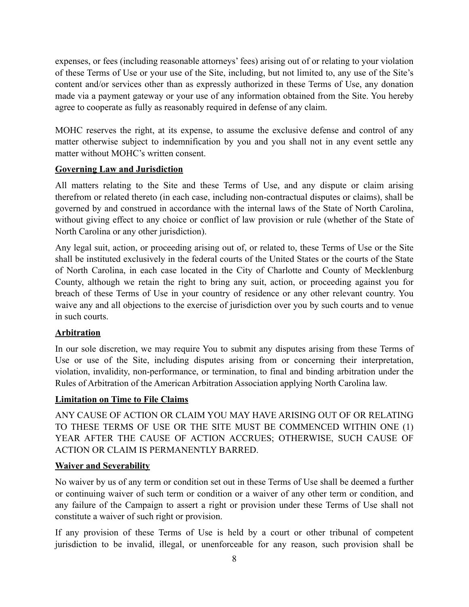expenses, or fees (including reasonable attorneys' fees) arising out of or relating to your violation of these Terms of Use or your use of the Site, including, but not limited to, any use of the Site's content and/or services other than as expressly authorized in these Terms of Use, any donation made via a payment gateway or your use of any information obtained from the Site. You hereby agree to cooperate as fully as reasonably required in defense of any claim.

MOHC reserves the right, at its expense, to assume the exclusive defense and control of any matter otherwise subject to indemnification by you and you shall not in any event settle any matter without MOHC's written consent.

# **Governing Law and Jurisdiction**

All matters relating to the Site and these Terms of Use, and any dispute or claim arising therefrom or related thereto (in each case, including non-contractual disputes or claims), shall be governed by and construed in accordance with the internal laws of the State of North Carolina, without giving effect to any choice or conflict of law provision or rule (whether of the State of North Carolina or any other jurisdiction).

Any legal suit, action, or proceeding arising out of, or related to, these Terms of Use or the Site shall be instituted exclusively in the federal courts of the United States or the courts of the State of North Carolina, in each case located in the City of Charlotte and County of Mecklenburg County, although we retain the right to bring any suit, action, or proceeding against you for breach of these Terms of Use in your country of residence or any other relevant country. You waive any and all objections to the exercise of jurisdiction over you by such courts and to venue in such courts.

# **Arbitration**

In our sole discretion, we may require You to submit any disputes arising from these Terms of Use or use of the Site, including disputes arising from or concerning their interpretation, violation, invalidity, non-performance, or termination, to final and binding arbitration under the Rules of Arbitration of the American Arbitration Association applying North Carolina law.

#### **Limitation on Time to File Claims**

ANY CAUSE OF ACTION OR CLAIM YOU MAY HAVE ARISING OUT OF OR RELATING TO THESE TERMS OF USE OR THE SITE MUST BE COMMENCED WITHIN ONE (1) YEAR AFTER THE CAUSE OF ACTION ACCRUES; OTHERWISE, SUCH CAUSE OF ACTION OR CLAIM IS PERMANENTLY BARRED.

#### **Waiver and Severability**

No waiver by us of any term or condition set out in these Terms of Use shall be deemed a further or continuing waiver of such term or condition or a waiver of any other term or condition, and any failure of the Campaign to assert a right or provision under these Terms of Use shall not constitute a waiver of such right or provision.

If any provision of these Terms of Use is held by a court or other tribunal of competent jurisdiction to be invalid, illegal, or unenforceable for any reason, such provision shall be